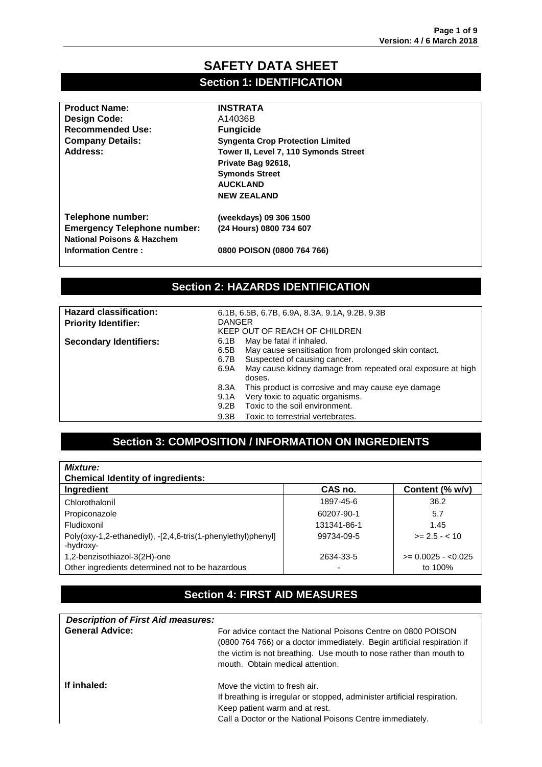### **SAFETY DATA SHEET Section 1: IDENTIFICATION**

| <b>Product Name:</b>                  | <b>INSTRATA</b>                         |
|---------------------------------------|-----------------------------------------|
| Design Code:                          | A14036B                                 |
| <b>Recommended Use:</b>               | <b>Fungicide</b>                        |
| <b>Company Details:</b>               | <b>Syngenta Crop Protection Limited</b> |
| Address:                              | Tower II, Level 7, 110 Symonds Street   |
|                                       | Private Bag 92618,                      |
|                                       | <b>Symonds Street</b>                   |
|                                       | <b>AUCKLAND</b>                         |
|                                       | <b>NEW ZEALAND</b>                      |
| Telephone number:                     | (weekdays) 09 306 1500                  |
| <b>Emergency Telephone number:</b>    | (24 Hours) 0800 734 607                 |
| <b>National Poisons &amp; Hazchem</b> |                                         |
| <b>Information Centre:</b>            | 0800 POISON (0800 764 766)              |
|                                       |                                         |

### **Section 2: HAZARDS IDENTIFICATION**

| <b>Hazard classification:</b> | 6.1B, 6.5B, 6.7B, 6.9A, 8.3A, 9.1A, 9.2B, 9.3B                      |  |
|-------------------------------|---------------------------------------------------------------------|--|
| <b>Priority Identifier:</b>   | <b>DANGER</b>                                                       |  |
|                               | KEEP OUT OF REACH OF CHILDREN                                       |  |
| <b>Secondary Identifiers:</b> | May be fatal if inhaled.<br>6.1B                                    |  |
|                               | May cause sensitisation from prolonged skin contact.<br>6.5B        |  |
|                               | Suspected of causing cancer.<br>6.7B                                |  |
|                               | May cause kidney damage from repeated oral exposure at high<br>6.9A |  |
|                               | doses.                                                              |  |
|                               | This product is corrosive and may cause eye damage<br>8.3A          |  |
|                               | Very toxic to aquatic organisms.<br>9.1A                            |  |
|                               | Toxic to the soil environment.<br>9.2B                              |  |
|                               | Toxic to terrestrial vertebrates.<br>9.3B                           |  |

# **Section 3: COMPOSITION / INFORMATION ON INGREDIENTS**

| <b>Mixture:</b>                                                           |             |                     |
|---------------------------------------------------------------------------|-------------|---------------------|
| <b>Chemical Identity of ingredients:</b>                                  |             |                     |
| Ingredient                                                                | CAS no.     | Content (% w/v)     |
| Chlorothalonil                                                            | 1897-45-6   | 36.2                |
| Propiconazole                                                             | 60207-90-1  | 5.7                 |
| Fludioxonil                                                               | 131341-86-1 | 1.45                |
| Poly(oxy-1,2-ethanediyl), -[2,4,6-tris(1-phenylethyl)phenyl]<br>-hydroxy- | 99734-09-5  | $>= 2.5 - < 10$     |
| 1,2-benzisothiazol-3(2H)-one                                              | 2634-33-5   | $>= 0.0025 - 0.025$ |
| Other ingredients determined not to be hazardous                          | -           | to 100%             |

### **Section 4: FIRST AID MEASURES**

| <b>Description of First Aid measures:</b> |                                                                                                                                                                                                                                                     |
|-------------------------------------------|-----------------------------------------------------------------------------------------------------------------------------------------------------------------------------------------------------------------------------------------------------|
| <b>General Advice:</b>                    | For advice contact the National Poisons Centre on 0800 POISON<br>(0800 764 766) or a doctor immediately. Begin artificial respiration if<br>the victim is not breathing. Use mouth to nose rather than mouth to<br>mouth. Obtain medical attention. |
| If inhaled:                               | Move the victim to fresh air.<br>If breathing is irregular or stopped, administer artificial respiration.<br>Keep patient warm and at rest.<br>Call a Doctor or the National Poisons Centre immediately.                                            |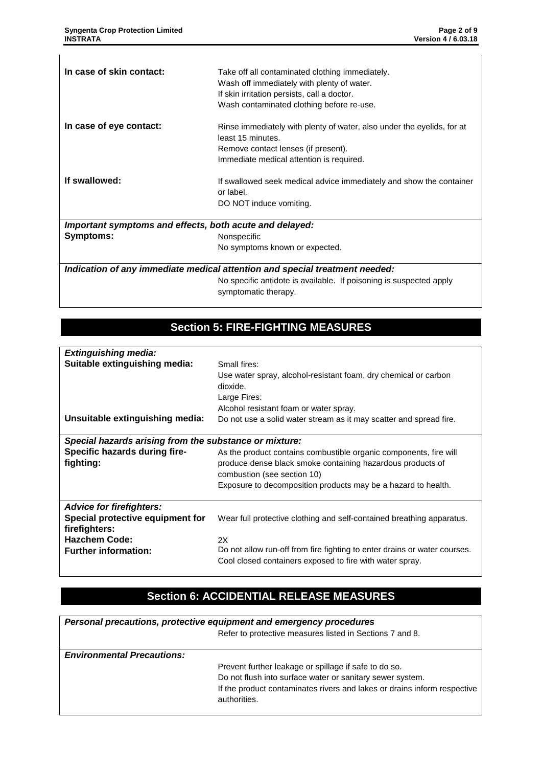|                          | No symptoms known or expected.                                                            |
|--------------------------|-------------------------------------------------------------------------------------------|
| Symptoms:                | Nonspecific                                                                               |
|                          | Important symptoms and effects, both acute and delayed:                                   |
|                          | DO NOT induce vomiting.                                                                   |
|                          | or label.                                                                                 |
| If swallowed:            | If swallowed seek medical advice immediately and show the container                       |
|                          | Immediate medical attention is required.                                                  |
|                          | Remove contact lenses (if present).                                                       |
|                          | least 15 minutes.                                                                         |
| In case of eye contact:  | Rinse immediately with plenty of water, also under the eyelids, for at                    |
|                          |                                                                                           |
|                          | Wash contaminated clothing before re-use.                                                 |
|                          | Wash off immediately with plenty of water.<br>If skin irritation persists, call a doctor. |
|                          |                                                                                           |
| In case of skin contact: | Take off all contaminated clothing immediately.                                           |

No specific antidote is available. If poisoning is suspected apply symptomatic therapy.

### **Section 5: FIRE-FIGHTING MEASURES**

| <b>Extinguishing media:</b>                            |                                                                                                                                       |  |
|--------------------------------------------------------|---------------------------------------------------------------------------------------------------------------------------------------|--|
| Suitable extinguishing media:                          | Small fires:                                                                                                                          |  |
|                                                        | Use water spray, alcohol-resistant foam, dry chemical or carbon<br>dioxide.                                                           |  |
|                                                        | Large Fires:                                                                                                                          |  |
|                                                        | Alcohol resistant foam or water spray.                                                                                                |  |
| Unsuitable extinguishing media:                        | Do not use a solid water stream as it may scatter and spread fire.                                                                    |  |
|                                                        |                                                                                                                                       |  |
| Special hazards arising from the substance or mixture: |                                                                                                                                       |  |
| Specific hazards during fire-                          | As the product contains combustible organic components, fire will                                                                     |  |
| fighting:                                              | produce dense black smoke containing hazardous products of                                                                            |  |
|                                                        | combustion (see section 10)                                                                                                           |  |
|                                                        | Exposure to decomposition products may be a hazard to health.                                                                         |  |
|                                                        |                                                                                                                                       |  |
| <b>Advice for firefighters:</b>                        |                                                                                                                                       |  |
| Special protective equipment for                       | Wear full protective clothing and self-contained breathing apparatus.                                                                 |  |
| firefighters:                                          |                                                                                                                                       |  |
| <b>Hazchem Code:</b>                                   | 2X                                                                                                                                    |  |
| <b>Further information:</b>                            | Do not allow run-off from fire fighting to enter drains or water courses.<br>Cool closed containers exposed to fire with water spray. |  |

# **Section 6: ACCIDENTIAL RELEASE MEASURES**

| Personal precautions, protective equipment and emergency procedures |                                                                          |  |
|---------------------------------------------------------------------|--------------------------------------------------------------------------|--|
|                                                                     | Refer to protective measures listed in Sections 7 and 8.                 |  |
| <b>Environmental Precautions:</b>                                   |                                                                          |  |
|                                                                     | Prevent further leakage or spillage if safe to do so.                    |  |
|                                                                     | Do not flush into surface water or sanitary sewer system.                |  |
|                                                                     | If the product contaminates rivers and lakes or drains inform respective |  |
|                                                                     | authorities.                                                             |  |
|                                                                     |                                                                          |  |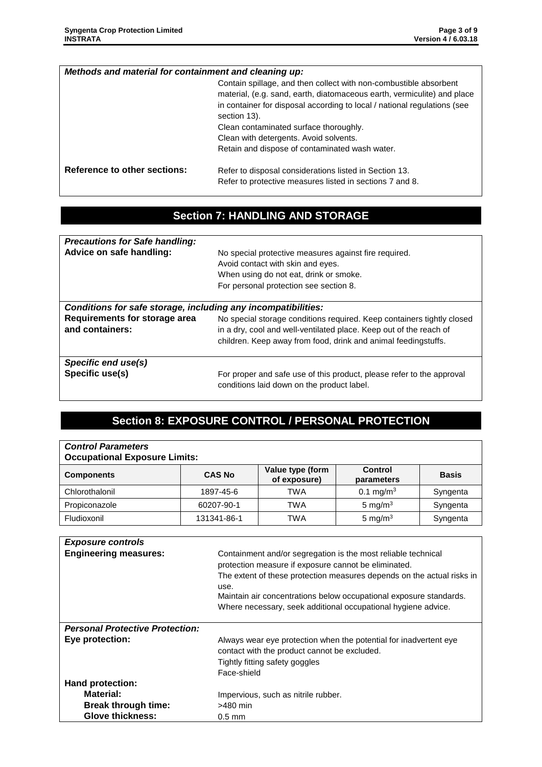| Methods and material for containment and cleaning up: |                                                                                                                                                                                                                                                                                                                                                                                |
|-------------------------------------------------------|--------------------------------------------------------------------------------------------------------------------------------------------------------------------------------------------------------------------------------------------------------------------------------------------------------------------------------------------------------------------------------|
|                                                       | Contain spillage, and then collect with non-combustible absorbent<br>material, (e.g. sand, earth, diatomaceous earth, vermiculite) and place<br>in container for disposal according to local / national regulations (see<br>section 13).<br>Clean contaminated surface thoroughly.<br>Clean with detergents. Avoid solvents.<br>Retain and dispose of contaminated wash water. |
| Reference to other sections:                          | Refer to disposal considerations listed in Section 13.<br>Refer to protective measures listed in sections 7 and 8.                                                                                                                                                                                                                                                             |

### **Section 7: HANDLING AND STORAGE**

| No special protective measures against fire required.<br>Avoid contact with skin and eyes.<br>When using do not eat, drink or smoke.<br>For personal protection see section 8.                                 |  |  |
|----------------------------------------------------------------------------------------------------------------------------------------------------------------------------------------------------------------|--|--|
| Conditions for safe storage, including any incompatibilities:                                                                                                                                                  |  |  |
| No special storage conditions required. Keep containers tightly closed<br>in a dry, cool and well-ventilated place. Keep out of the reach of<br>children. Keep away from food, drink and animal feedingstuffs. |  |  |
| For proper and safe use of this product, please refer to the approval<br>conditions laid down on the product label.                                                                                            |  |  |
|                                                                                                                                                                                                                |  |  |

# **Section 8: EXPOSURE CONTROL / PERSONAL PROTECTION**

| <b>Control Parameters</b><br><b>Occupational Exposure Limits:</b> |               |                                  |                       |              |
|-------------------------------------------------------------------|---------------|----------------------------------|-----------------------|--------------|
| <b>Components</b>                                                 | <b>CAS No</b> | Value type (form<br>of exposure) | Control<br>parameters | <b>Basis</b> |
| Chlorothalonil                                                    | 1897-45-6     | TWA                              | 0.1 mg/m <sup>3</sup> | Syngenta     |
| Propiconazole                                                     | 60207-90-1    | TWA                              | 5 mg/m $3$            | Syngenta     |
| Fludioxonil                                                       | 131341-86-1   | TWA                              | 5 mg/m $3$            | Syngenta     |

| <b>Exposure controls</b>               |                                                                                                                       |
|----------------------------------------|-----------------------------------------------------------------------------------------------------------------------|
| <b>Engineering measures:</b>           | Containment and/or segregation is the most reliable technical<br>protection measure if exposure cannot be eliminated. |
|                                        |                                                                                                                       |
|                                        | The extent of these protection measures depends on the actual risks in                                                |
|                                        | use.                                                                                                                  |
|                                        | Maintain air concentrations below occupational exposure standards.                                                    |
|                                        | Where necessary, seek additional occupational hygiene advice.                                                         |
|                                        |                                                                                                                       |
| <b>Personal Protective Protection:</b> |                                                                                                                       |
| Eye protection:                        | Always wear eye protection when the potential for inadvertent eye                                                     |
|                                        | contact with the product cannot be excluded.                                                                          |
|                                        | Tightly fitting safety goggles                                                                                        |
|                                        | Face-shield                                                                                                           |
| Hand protection:                       |                                                                                                                       |
| <b>Material:</b>                       | Impervious, such as nitrile rubber.                                                                                   |
| <b>Break through time:</b>             | $>480$ min                                                                                                            |
| <b>Glove thickness:</b>                | $0.5$ mm                                                                                                              |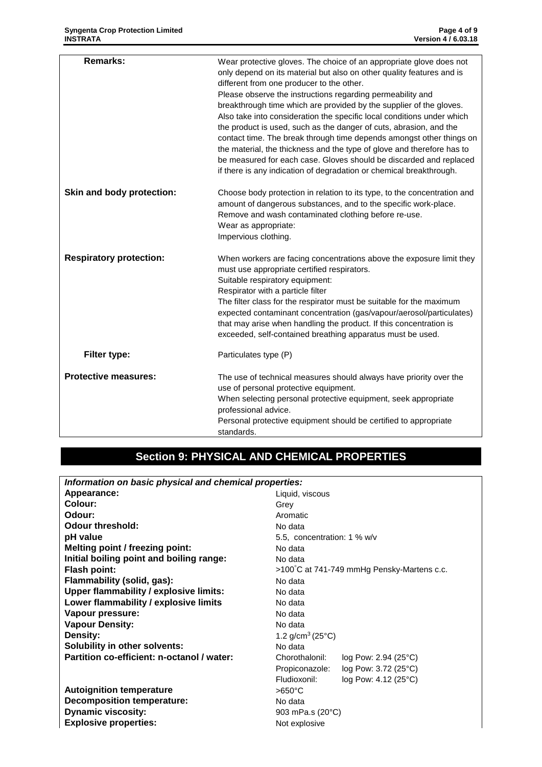| <b>Remarks:</b>                | Wear protective gloves. The choice of an appropriate glove does not<br>only depend on its material but also on other quality features and is<br>different from one producer to the other.<br>Please observe the instructions regarding permeability and<br>breakthrough time which are provided by the supplier of the gloves.<br>Also take into consideration the specific local conditions under which<br>the product is used, such as the danger of cuts, abrasion, and the<br>contact time. The break through time depends amongst other things on<br>the material, the thickness and the type of glove and therefore has to<br>be measured for each case. Gloves should be discarded and replaced<br>if there is any indication of degradation or chemical breakthrough. |
|--------------------------------|-------------------------------------------------------------------------------------------------------------------------------------------------------------------------------------------------------------------------------------------------------------------------------------------------------------------------------------------------------------------------------------------------------------------------------------------------------------------------------------------------------------------------------------------------------------------------------------------------------------------------------------------------------------------------------------------------------------------------------------------------------------------------------|
| Skin and body protection:      | Choose body protection in relation to its type, to the concentration and<br>amount of dangerous substances, and to the specific work-place.<br>Remove and wash contaminated clothing before re-use.<br>Wear as appropriate:<br>Impervious clothing.                                                                                                                                                                                                                                                                                                                                                                                                                                                                                                                           |
| <b>Respiratory protection:</b> | When workers are facing concentrations above the exposure limit they<br>must use appropriate certified respirators.<br>Suitable respiratory equipment:<br>Respirator with a particle filter<br>The filter class for the respirator must be suitable for the maximum<br>expected contaminant concentration (gas/vapour/aerosol/particulates)<br>that may arise when handling the product. If this concentration is<br>exceeded, self-contained breathing apparatus must be used.                                                                                                                                                                                                                                                                                               |
| Filter type:                   | Particulates type (P)                                                                                                                                                                                                                                                                                                                                                                                                                                                                                                                                                                                                                                                                                                                                                         |
| <b>Protective measures:</b>    | The use of technical measures should always have priority over the<br>use of personal protective equipment.<br>When selecting personal protective equipment, seek appropriate<br>professional advice.<br>Personal protective equipment should be certified to appropriate<br>standards.                                                                                                                                                                                                                                                                                                                                                                                                                                                                                       |

# **Section 9: PHYSICAL AND CHEMICAL PROPERTIES**

| Information on basic physical and chemical properties: |                                            |  |
|--------------------------------------------------------|--------------------------------------------|--|
| Appearance:                                            | Liquid, viscous                            |  |
| Colour:                                                | Grey                                       |  |
| Odour:                                                 | Aromatic                                   |  |
| <b>Odour threshold:</b>                                | No data                                    |  |
| pH value                                               | 5.5, concentration: 1 % w/v                |  |
| Melting point / freezing point:                        | No data                                    |  |
| Initial boiling point and boiling range:               | No data                                    |  |
| <b>Flash point:</b>                                    | >100°C at 741-749 mmHg Pensky-Martens c.c. |  |
| Flammability (solid, gas):                             | No data                                    |  |
| Upper flammability / explosive limits:                 | No data                                    |  |
| Lower flammability / explosive limits                  | No data                                    |  |
| Vapour pressure:                                       | No data                                    |  |
| <b>Vapour Density:</b>                                 | No data                                    |  |
| Density:                                               | 1.2 $g/cm^3$ (25 $°C$ )                    |  |
| Solubility in other solvents:                          | No data                                    |  |
| Partition co-efficient: n-octanol / water:             | Chorothalonil:<br>log Pow: 2.94 (25°C)     |  |
|                                                        | log Pow: 3.72 (25°C)<br>Propiconazole:     |  |
|                                                        | Fludioxonil:<br>log Pow: 4.12 (25°C)       |  |
| <b>Autoignition temperature</b>                        | $>650^{\circ}$ C                           |  |
| <b>Decomposition temperature:</b>                      | No data                                    |  |
| <b>Dynamic viscosity:</b>                              | 903 mPa.s (20°C)                           |  |
| <b>Explosive properties:</b>                           | Not explosive                              |  |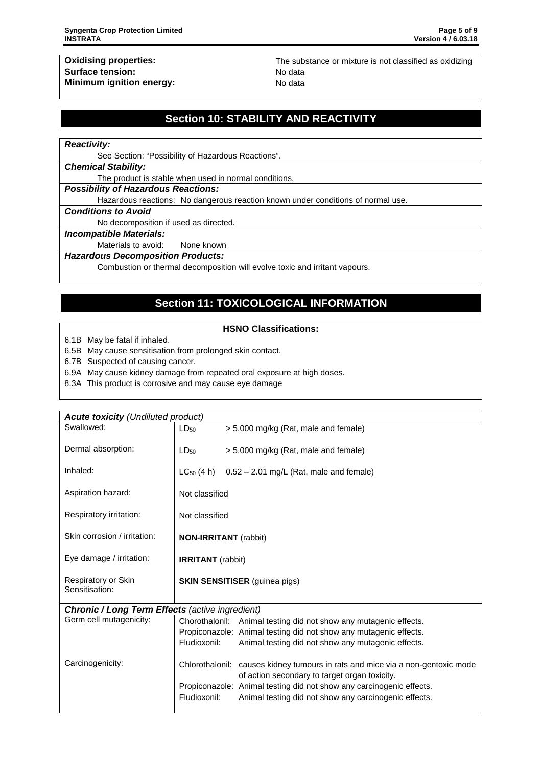**Oxidising properties:** The substance or mixture is not classified as oxidizing

# **Section 10: STABILITY AND REACTIVITY**

#### *Reactivity:*

See Section: "Possibility of Hazardous Reactions".

#### *Chemical Stability:*

The product is stable when used in normal conditions.

*Possibility of Hazardous Reactions:*

Hazardous reactions: No dangerous reaction known under conditions of normal use.

#### *Conditions to Avoid*

No decomposition if used as directed.

#### *Incompatible Materials:*

Materials to avoid: None known

#### *Hazardous Decomposition Products:*

Combustion or thermal decomposition will evolve toxic and irritant vapours.

### **Section 11: TOXICOLOGICAL INFORMATION**

#### **HSNO Classifications:**

6.1B May be fatal if inhaled.

6.5B May cause sensitisation from prolonged skin contact.

6.7B Suspected of causing cancer.

6.9A May cause kidney damage from repeated oral exposure at high doses.

8.3A This product is corrosive and may cause eye damage

| <b>Acute toxicity (Undiluted product)</b>              |                                      |                                                                                                                                 |  |
|--------------------------------------------------------|--------------------------------------|---------------------------------------------------------------------------------------------------------------------------------|--|
| Swallowed:                                             | $LD_{50}$                            | > 5,000 mg/kg (Rat, male and female)                                                                                            |  |
| Dermal absorption:                                     | $LD_{50}$                            | > 5,000 mg/kg (Rat, male and female)                                                                                            |  |
| Inhaled:                                               | $LC_{50}$ (4 h)                      | $0.52 - 2.01$ mg/L (Rat, male and female)                                                                                       |  |
| Aspiration hazard:                                     | Not classified                       |                                                                                                                                 |  |
| Respiratory irritation:                                | Not classified                       |                                                                                                                                 |  |
| Skin corrosion / irritation:                           |                                      | <b>NON-IRRITANT</b> (rabbit)                                                                                                    |  |
| Eye damage / irritation:                               | <b>IRRITANT</b> (rabbit)             |                                                                                                                                 |  |
| Respiratory or Skin<br>Sensitisation:                  | <b>SKIN SENSITISER</b> (guinea pigs) |                                                                                                                                 |  |
| <b>Chronic / Long Term Effects (active ingredient)</b> |                                      |                                                                                                                                 |  |
| Germ cell mutagenicity:                                |                                      | Chorothalonil: Animal testing did not show any mutagenic effects.                                                               |  |
|                                                        |                                      | Propiconazole: Animal testing did not show any mutagenic effects.                                                               |  |
|                                                        | Fludioxonil:                         | Animal testing did not show any mutagenic effects.                                                                              |  |
| Carcinogenicity:                                       |                                      | Chlorothalonil: causes kidney tumours in rats and mice via a non-gentoxic mode<br>of action secondary to target organ toxicity. |  |
|                                                        |                                      | Propiconazole: Animal testing did not show any carcinogenic effects.                                                            |  |
|                                                        | Fludioxonil:                         | Animal testing did not show any carcinogenic effects.                                                                           |  |
|                                                        |                                      |                                                                                                                                 |  |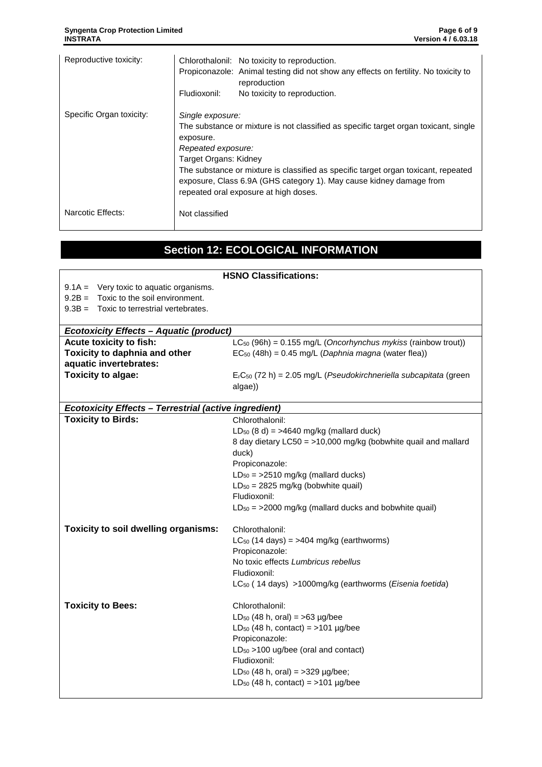H

| Reproductive toxicity:   |                                                                                                                                                                                                                                        | Chlorothalonil: No toxicity to reproduction.<br>Propiconazole: Animal testing did not show any effects on fertility. No toxicity to<br>reproduction |
|--------------------------|----------------------------------------------------------------------------------------------------------------------------------------------------------------------------------------------------------------------------------------|-----------------------------------------------------------------------------------------------------------------------------------------------------|
|                          | Fludioxonil:                                                                                                                                                                                                                           | No toxicity to reproduction.                                                                                                                        |
| Specific Organ toxicity: | Single exposure:                                                                                                                                                                                                                       |                                                                                                                                                     |
|                          | The substance or mixture is not classified as specific target organ toxicant, single<br>exposure.<br>Repeated exposure:<br>Target Organs: Kidney<br>The substance or mixture is classified as specific target organ toxicant, repeated |                                                                                                                                                     |
|                          |                                                                                                                                                                                                                                        |                                                                                                                                                     |
|                          |                                                                                                                                                                                                                                        |                                                                                                                                                     |
|                          |                                                                                                                                                                                                                                        |                                                                                                                                                     |
|                          |                                                                                                                                                                                                                                        |                                                                                                                                                     |
|                          |                                                                                                                                                                                                                                        | exposure, Class 6.9A (GHS category 1). May cause kidney damage from                                                                                 |
|                          |                                                                                                                                                                                                                                        | repeated oral exposure at high doses.                                                                                                               |
| Narcotic Effects:        | Not classified                                                                                                                                                                                                                         |                                                                                                                                                     |

# **Section 12: ECOLOGICAL INFORMATION**

|                                                                                           | <b>HSNO Classifications:</b>                                        |
|-------------------------------------------------------------------------------------------|---------------------------------------------------------------------|
| $9.1A =$ Very toxic to aquatic organisms.                                                 |                                                                     |
| $9.2B =$ Toxic to the soil environment.                                                   |                                                                     |
| $9.3B =$ Toxic to terrestrial vertebrates.                                                |                                                                     |
|                                                                                           |                                                                     |
| <b>Ecotoxicity Effects - Aquatic (product)</b>                                            |                                                                     |
| Acute toxicity to fish:                                                                   | $LC_{50}$ (96h) = 0.155 mg/L (Oncorhynchus mykiss (rainbow trout))  |
| Toxicity to daphnia and other                                                             | $EC_{50}$ (48h) = 0.45 mg/L (Daphnia magna (water flea))            |
| aquatic invertebrates:                                                                    |                                                                     |
| Toxicity to algae:                                                                        | $ErC50$ (72 h) = 2.05 mg/L (Pseudokirchneriella subcapitata (green  |
|                                                                                           | algae))                                                             |
|                                                                                           |                                                                     |
| <b>Ecotoxicity Effects - Terrestrial (active ingredient)</b><br><b>Toxicity to Birds:</b> |                                                                     |
|                                                                                           | Chlorothalonil:                                                     |
|                                                                                           | $LD_{50}$ (8 d) = >4640 mg/kg (mallard duck)                        |
|                                                                                           | 8 day dietary LC50 = >10,000 mg/kg (bobwhite quail and mallard      |
|                                                                                           | duck)                                                               |
|                                                                                           | Propiconazole:                                                      |
|                                                                                           | $LD_{50}$ = >2510 mg/kg (mallard ducks)                             |
|                                                                                           | $LD_{50} = 2825$ mg/kg (bobwhite quail)                             |
|                                                                                           | Fludioxonil:                                                        |
|                                                                                           | $LD_{50}$ = >2000 mg/kg (mallard ducks and bobwhite quail)          |
| Toxicity to soil dwelling organisms:                                                      | Chlorothalonil:                                                     |
|                                                                                           | $LC_{50}$ (14 days) = >404 mg/kg (earthworms)                       |
|                                                                                           | Propiconazole:                                                      |
|                                                                                           | No toxic effects Lumbricus rebellus                                 |
|                                                                                           | Fludioxonil:                                                        |
|                                                                                           | LC <sub>50</sub> (14 days) >1000mg/kg (earthworms (Eisenia foetida) |
| <b>Toxicity to Bees:</b>                                                                  | Chlorothalonil:                                                     |
|                                                                                           | $LD_{50}$ (48 h, oral) = >63 µg/bee                                 |
|                                                                                           | LD <sub>50</sub> (48 h, contact) = $>101$ µg/bee                    |
|                                                                                           | Propiconazole:                                                      |
|                                                                                           | $LD_{50}$ >100 ug/bee (oral and contact)                            |
|                                                                                           | Fludioxonil:                                                        |
|                                                                                           | LD <sub>50</sub> (48 h, oral) = $>329$ µg/bee;                      |
|                                                                                           | LD <sub>50</sub> (48 h, contact) = $>101$ µg/bee                    |
|                                                                                           |                                                                     |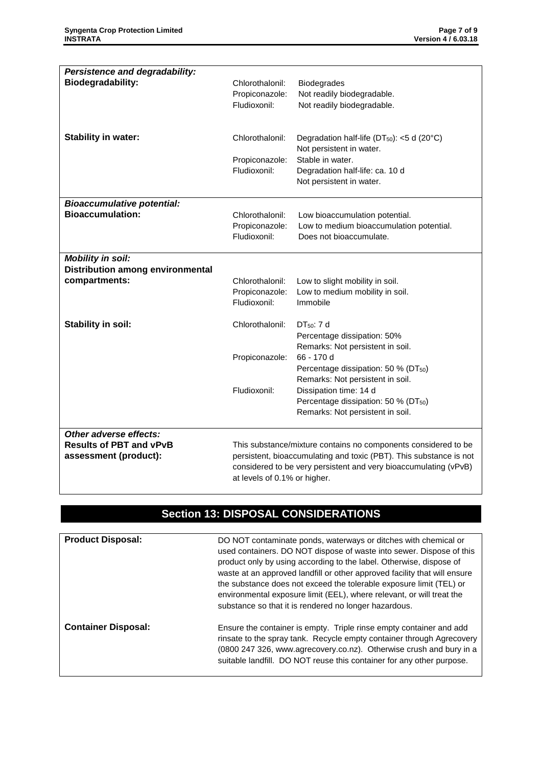| Persistence and degradability:<br><b>Biodegradability:</b> | Chlorothalonil:<br>Propiconazole:                              | <b>Biodegrades</b><br>Not readily biodegradable.                             |
|------------------------------------------------------------|----------------------------------------------------------------|------------------------------------------------------------------------------|
|                                                            | Fludioxonil:                                                   | Not readily biodegradable.                                                   |
| <b>Stability in water:</b>                                 | Chlorothalonil:                                                | Degradation half-life ( $DT_{50}$ ): <5 d (20°C)<br>Not persistent in water. |
|                                                            | Propiconazole:                                                 | Stable in water.                                                             |
|                                                            | Fludioxonil:                                                   | Degradation half-life: ca. 10 d                                              |
|                                                            |                                                                | Not persistent in water.                                                     |
| <b>Bioaccumulative potential:</b>                          |                                                                |                                                                              |
| <b>Bioaccumulation:</b>                                    | Chlorothalonil:                                                | Low bioaccumulation potential.                                               |
|                                                            | Propiconazole:                                                 | Low to medium bioaccumulation potential.                                     |
|                                                            | Fludioxonil:                                                   | Does not bioaccumulate.                                                      |
| <b>Mobility in soil:</b>                                   |                                                                |                                                                              |
| <b>Distribution among environmental</b>                    |                                                                |                                                                              |
| compartments:                                              | Chlorothalonil:                                                | Low to slight mobility in soil.                                              |
|                                                            | Propiconazole:<br>Fludioxonil:                                 | Low to medium mobility in soil.<br>Immobile                                  |
|                                                            |                                                                |                                                                              |
| Stability in soil:                                         | Chlorothalonil:                                                | DT <sub>50</sub> : 7 d                                                       |
|                                                            |                                                                | Percentage dissipation: 50%                                                  |
|                                                            |                                                                | Remarks: Not persistent in soil.                                             |
|                                                            | Propiconazole:                                                 | 66 - 170 d<br>Percentage dissipation: 50 % (DT <sub>50</sub> )               |
|                                                            |                                                                | Remarks: Not persistent in soil.                                             |
|                                                            | Fludioxonil:                                                   | Dissipation time: 14 d                                                       |
|                                                            |                                                                | Percentage dissipation: 50 % (DT <sub>50</sub> )                             |
|                                                            |                                                                | Remarks: Not persistent in soil.                                             |
| Other adverse effects:                                     |                                                                |                                                                              |
| <b>Results of PBT and vPvB</b>                             | This substance/mixture contains no components considered to be |                                                                              |
| assessment (product):                                      |                                                                | persistent, bioaccumulating and toxic (PBT). This substance is not           |
|                                                            | at levels of 0.1% or higher.                                   | considered to be very persistent and very bioaccumulating (vPvB)             |

# **Section 13: DISPOSAL CONSIDERATIONS**

| <b>Product Disposal:</b>   | DO NOT contaminate ponds, waterways or ditches with chemical or<br>used containers. DO NOT dispose of waste into sewer. Dispose of this<br>product only by using according to the label. Otherwise, dispose of<br>waste at an approved landfill or other approved facility that will ensure<br>the substance does not exceed the tolerable exposure limit (TEL) or<br>environmental exposure limit (EEL), where relevant, or will treat the<br>substance so that it is rendered no longer hazardous. |
|----------------------------|------------------------------------------------------------------------------------------------------------------------------------------------------------------------------------------------------------------------------------------------------------------------------------------------------------------------------------------------------------------------------------------------------------------------------------------------------------------------------------------------------|
| <b>Container Disposal:</b> | Ensure the container is empty. Triple rinse empty container and add<br>rinsate to the spray tank. Recycle empty container through Agrecovery<br>(0800 247 326, www.agrecovery.co.nz). Otherwise crush and bury in a<br>suitable landfill. DO NOT reuse this container for any other purpose.                                                                                                                                                                                                         |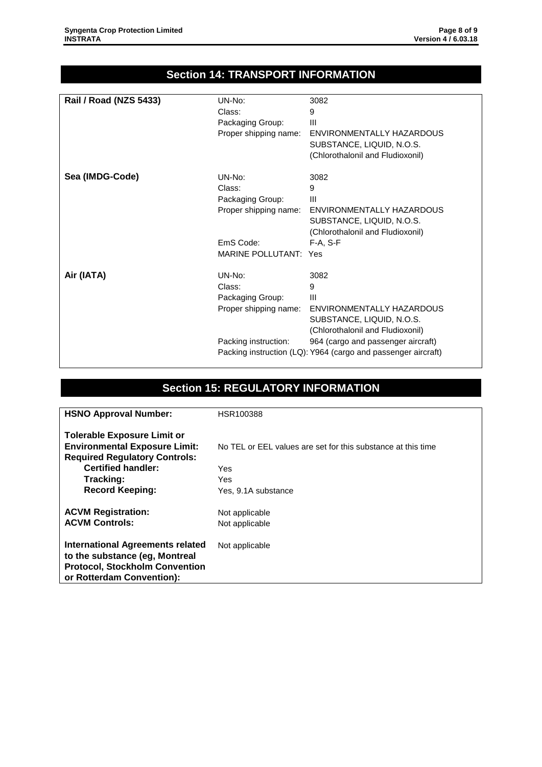### **Section 14: TRANSPORT INFORMATION**

| <b>Rail / Road (NZS 5433)</b> | UN-No:                       | 3082                                                          |
|-------------------------------|------------------------------|---------------------------------------------------------------|
|                               | Class:                       | 9                                                             |
|                               | Packaging Group:             | Ш                                                             |
|                               | Proper shipping name:        | ENVIRONMENTALLY HAZARDOUS                                     |
|                               |                              | SUBSTANCE, LIQUID, N.O.S.                                     |
|                               |                              | (Chlorothalonil and Fludioxonil)                              |
| Sea (IMDG-Code)               | UN-No:                       | 3082                                                          |
|                               | Class:                       | 9                                                             |
|                               | Packaging Group:             | Ш                                                             |
|                               | Proper shipping name:        | ENVIRONMENTALLY HAZARDOUS                                     |
|                               |                              | SUBSTANCE, LIQUID, N.O.S.                                     |
|                               |                              | (Chlorothalonil and Fludioxonil)                              |
|                               | EmS Code:                    | $F-A, S-F$                                                    |
|                               | <b>MARINE POLLUTANT: Yes</b> |                                                               |
| Air (IATA)                    | $UN-No:$                     | 3082                                                          |
|                               | Class:                       | 9                                                             |
|                               | Packaging Group:             | $\mathbf{III}$                                                |
|                               | Proper shipping name:        | ENVIRONMENTALLY HAZARDOUS                                     |
|                               |                              | SUBSTANCE, LIQUID, N.O.S.                                     |
|                               |                              | (Chlorothalonil and Fludioxonil)                              |
|                               | Packing instruction:         | 964 (cargo and passenger aircraft)                            |
|                               |                              | Packing instruction (LQ): Y964 (cargo and passenger aircraft) |

### **Section 15: REGULATORY INFORMATION**

| <b>HSNO Approval Number:</b>                                                                                                             | HSR100388                                                    |
|------------------------------------------------------------------------------------------------------------------------------------------|--------------------------------------------------------------|
| <b>Tolerable Exposure Limit or</b>                                                                                                       |                                                              |
| <b>Environmental Exposure Limit:</b>                                                                                                     | No TEL or EEL values are set for this substance at this time |
| <b>Required Regulatory Controls:</b>                                                                                                     |                                                              |
| <b>Certified handler:</b>                                                                                                                | Yes                                                          |
| Tracking:                                                                                                                                | Yes                                                          |
| <b>Record Keeping:</b>                                                                                                                   | Yes, 9.1A substance                                          |
| <b>ACVM Registration:</b>                                                                                                                | Not applicable                                               |
| <b>ACVM Controls:</b>                                                                                                                    | Not applicable                                               |
| International Agreements related<br>to the substance (eg, Montreal<br><b>Protocol, Stockholm Convention</b><br>or Rotterdam Convention): | Not applicable                                               |
|                                                                                                                                          |                                                              |